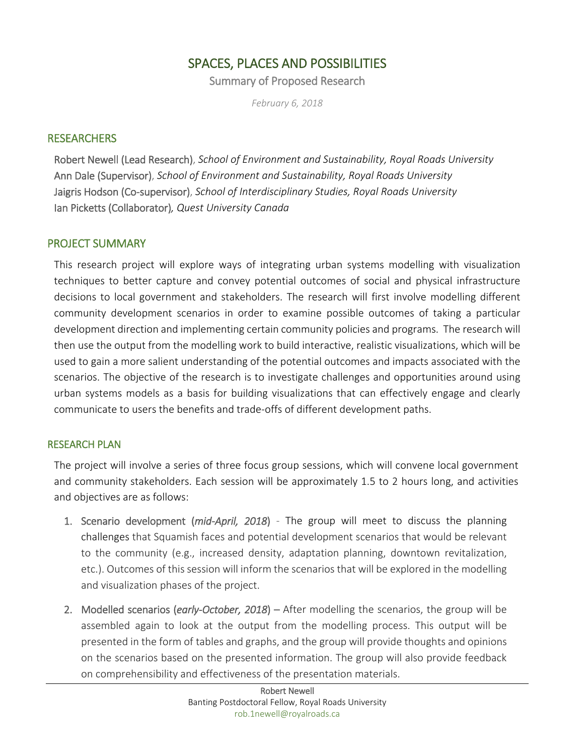# SPACES, PLACES AND POSSIBILITIES

Summary of Proposed Research

*February 6, 2018*

# **RESEARCHERS**

Robert Newell (Lead Research), *School of Environment and Sustainability, Royal Roads University* Ann Dale (Supervisor), *School of Environment and Sustainability, Royal Roads University* Jaigris Hodson (Co-supervisor), *School of Interdisciplinary Studies, Royal Roads University* Ian Picketts (Collaborator)*, Quest University Canada*

# PROJECT SUMMARY

This research project will explore ways of integrating urban systems modelling with visualization techniques to better capture and convey potential outcomes of social and physical infrastructure decisions to local government and stakeholders. The research will first involve modelling different community development scenarios in order to examine possible outcomes of taking a particular development direction and implementing certain community policies and programs. The research will then use the output from the modelling work to build interactive, realistic visualizations, which will be used to gain a more salient understanding of the potential outcomes and impacts associated with the scenarios. The objective of the research is to investigate challenges and opportunities around using urban systems models as a basis for building visualizations that can effectively engage and clearly communicate to users the benefits and trade-offs of different development paths.

## RESEARCH PLAN

The project will involve a series of three focus group sessions, which will convene local government and community stakeholders. Each session will be approximately 1.5 to 2 hours long, and activities and objectives are as follows:

- 1. Scenario development (*mid-April, 2018*) The group will meet to discuss the planning challenges that Squamish faces and potential development scenarios that would be relevant to the community (e.g., increased density, adaptation planning, downtown revitalization, etc.). Outcomes of this session will inform the scenarios that will be explored in the modelling and visualization phases of the project.
- 2. Modelled scenarios (*early-October, 2018*) After modelling the scenarios, the group will be assembled again to look at the output from the modelling process. This output will be presented in the form of tables and graphs, and the group will provide thoughts and opinions on the scenarios based on the presented information. The group will also provide feedback on comprehensibility and effectiveness of the presentation materials.